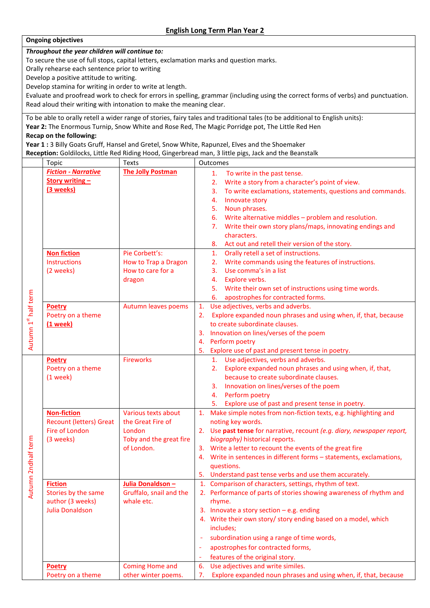## **Ongoing objectives**

*Throughout the year children will continue to:*

To secure the use of full stops, capital letters, exclamation marks and question marks.

Orally rehearse each sentence prior to writing

Develop a positive attitude to writing.

Develop stamina for writing in order to write at length.

Evaluate and proofread work to check for errors in spelling, grammar (including using the correct forms of verbs) and punctuation. Read aloud their writing with intonation to make the meaning clear.

To be able to orally retell a wider range of stories, fairy tales and traditional tales (to be additional to English units): **Year 2:** The Enormous Turnip, Snow White and Rose Red, The Magic Porridge pot, The Little Red Hen **Recap on the following:**

**Year 1 :** 3 Billy Goats Gruff, Hansel and Gretel, Snow White, Rapunzel, Elves and the Shoemaker **Reception:** Goldilocks, Little Red Riding Hood, Gingerbread man, 3 little pigs, Jack and the Beanstalk

|                      | Topic                          | Texts                    | Outcomes                                                                |  |  |
|----------------------|--------------------------------|--------------------------|-------------------------------------------------------------------------|--|--|
|                      | <b>Fiction - Narrative</b>     | <b>The Jolly Postman</b> | To write in the past tense.<br>1.                                       |  |  |
|                      | <b>Story writing -</b>         |                          | Write a story from a character's point of view.<br>2.                   |  |  |
|                      | (3 weeks)                      |                          | To write exclamations, statements, questions and commands.<br>3.        |  |  |
|                      |                                |                          | Innovate story<br>4.                                                    |  |  |
|                      |                                |                          | Noun phrases.<br>5.                                                     |  |  |
|                      |                                |                          | Write alternative middles - problem and resolution.<br>6.               |  |  |
|                      |                                |                          | Write their own story plans/maps, innovating endings and<br>7.          |  |  |
|                      |                                |                          | characters.                                                             |  |  |
| Autumn 1st half term |                                |                          | Act out and retell their version of the story.<br>8.                    |  |  |
|                      | <b>Non fiction</b>             | Pie Corbett's:           | Orally retell a set of instructions.<br>1.                              |  |  |
|                      | Instructions                   | How to Trap a Dragon     | Write commands using the features of instructions.<br>2.                |  |  |
|                      | (2 weeks)                      | How to care for a        | Use comma's in a list<br>3.                                             |  |  |
|                      |                                | dragon                   | Explore verbs.<br>4.                                                    |  |  |
|                      |                                |                          | Write their own set of instructions using time words.<br>5.             |  |  |
|                      |                                |                          | apostrophes for contracted forms.<br>6.                                 |  |  |
|                      | Poetry                         | Autumn leaves poems      | Use adjectives, verbs and adverbs.<br>1.                                |  |  |
|                      | Poetry on a theme              |                          | Explore expanded noun phrases and using when, if, that, because<br>2.   |  |  |
|                      | (1 week)                       |                          | to create subordinate clauses.                                          |  |  |
|                      |                                |                          | 3. Innovation on lines/verses of the poem                               |  |  |
|                      |                                |                          | 4. Perform poetry                                                       |  |  |
|                      |                                |                          | 5.<br>Explore use of past and present tense in poetry.                  |  |  |
|                      | <b>Poetry</b>                  | <b>Fireworks</b>         | 1. Use adjectives, verbs and adverbs.                                   |  |  |
|                      | Poetry on a theme              |                          | Explore expanded noun phrases and using when, if, that,<br>2.           |  |  |
|                      | $(1$ week)                     |                          | because to create subordinate clauses.                                  |  |  |
|                      |                                |                          | Innovation on lines/verses of the poem<br>3.                            |  |  |
|                      |                                |                          | Perform poetry<br>4.                                                    |  |  |
|                      |                                |                          | Explore use of past and present tense in poetry.<br>5.                  |  |  |
|                      | <b>Non-fiction</b>             | Various texts about      | Make simple notes from non-fiction texts, e.g. highlighting and<br>1.   |  |  |
|                      | <b>Recount (letters) Great</b> | the Great Fire of        | noting key words.                                                       |  |  |
|                      | Fire of London                 | London                   | 2. Use past tense for narrative, recount (e.g. diary, newspaper report, |  |  |
|                      | (3 weeks)                      | Toby and the great fire  | biography) historical reports.                                          |  |  |
|                      |                                | of London.               | 3. Write a letter to recount the events of the great fire               |  |  |
| mn 2ndhalf term      |                                |                          | 4. Write in sentences in different forms - statements, exclamations,    |  |  |
|                      |                                |                          | questions.                                                              |  |  |
|                      |                                |                          | 5. Understand past tense verbs and use them accurately.                 |  |  |
|                      | <b>Fiction</b>                 | Julia Donaldson -        | 1. Comparison of characters, settings, rhythm of text.                  |  |  |
| Autu                 | Stories by the same            | Gruffalo, snail and the  | 2. Performance of parts of stories showing awareness of rhythm and      |  |  |
|                      | author (3 weeks)               | whale etc.               | rhyme.                                                                  |  |  |
|                      | <b>Julia Donaldson</b>         |                          | 3. Innovate a story section $-e.g.$ ending                              |  |  |
|                      |                                |                          | 4. Write their own story/ story ending based on a model, which          |  |  |
|                      |                                |                          | includes;                                                               |  |  |
|                      |                                |                          | subordination using a range of time words,                              |  |  |
|                      |                                |                          | apostrophes for contracted forms,<br>$\overline{\phantom{a}}$           |  |  |
|                      |                                |                          | features of the original story.                                         |  |  |
|                      | Poetry                         | <b>Coming Home and</b>   | 6. Use adjectives and write similes.                                    |  |  |
|                      | Poetry on a theme              | other winter poems.      | Explore expanded noun phrases and using when, if, that, because<br>7.   |  |  |
|                      |                                |                          |                                                                         |  |  |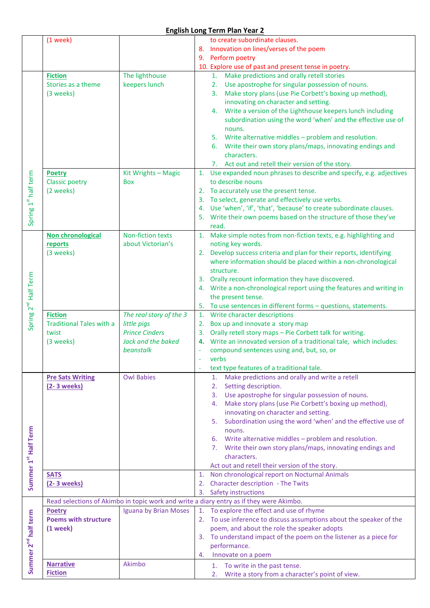## **English Long Term Plan Year 2**

|                                  | $(1$ week)                      |                         | to create subordinate clauses.                                                          |
|----------------------------------|---------------------------------|-------------------------|-----------------------------------------------------------------------------------------|
|                                  |                                 |                         | 8. Innovation on lines/verses of the poem                                               |
|                                  |                                 |                         | 9. Perform poetry                                                                       |
|                                  |                                 |                         | 10. Explore use of past and present tense in poetry.                                    |
|                                  |                                 |                         |                                                                                         |
|                                  | <b>Fiction</b>                  | The lighthouse          | 1. Make predictions and orally retell stories                                           |
|                                  | Stories as a theme              | keepers lunch           | 2. Use apostrophe for singular possession of nouns.                                     |
|                                  | (3 weeks)                       |                         | 3. Make story plans (use Pie Corbett's boxing up method),                               |
|                                  |                                 |                         | innovating on character and setting.                                                    |
|                                  |                                 |                         |                                                                                         |
|                                  |                                 |                         | 4. Write a version of the Lighthouse keepers lunch including                            |
|                                  |                                 |                         | subordination using the word 'when' and the effective use of                            |
|                                  |                                 |                         | nouns.                                                                                  |
|                                  |                                 |                         | 5. Write alternative middles - problem and resolution.                                  |
|                                  |                                 |                         | 6. Write their own story plans/maps, innovating endings and                             |
|                                  |                                 |                         |                                                                                         |
|                                  |                                 |                         | characters.                                                                             |
|                                  |                                 |                         | 7. Act out and retell their version of the story.                                       |
|                                  | <b>Poetry</b>                   | Kit Wrights - Magic     | Use expanded noun phrases to describe and specify, e.g. adjectives<br>1.                |
| Spring 1 <sup>st</sup> half term | <b>Classic poetry</b>           | <b>Box</b>              | to describe nouns                                                                       |
|                                  | (2 weeks)                       |                         | 2. To accurately use the present tense.                                                 |
|                                  |                                 |                         |                                                                                         |
|                                  |                                 |                         | To select, generate and effectively use verbs.<br>3.                                    |
|                                  |                                 |                         | 4. Use 'when', 'if', 'that', 'because' to create subordinate clauses.                   |
|                                  |                                 |                         | 5. Write their own poems based on the structure of those they've                        |
|                                  |                                 |                         | read.                                                                                   |
|                                  | Non chronological               | Non-fiction texts       | 1. Make simple notes from non-fiction texts, e.g. highlighting and                      |
|                                  |                                 |                         |                                                                                         |
|                                  | reports                         | about Victorian's       | noting key words.                                                                       |
|                                  | (3 weeks)                       |                         | 2. Develop success criteria and plan for their reports, identifying                     |
|                                  |                                 |                         | where information should be placed within a non-chronological                           |
|                                  |                                 |                         | structure.                                                                              |
| Spring 2 <sup>nd</sup> Half Term |                                 |                         | 3. Orally recount information they have discovered.                                     |
|                                  |                                 |                         |                                                                                         |
|                                  |                                 |                         | 4. Write a non-chronological report using the features and writing in                   |
|                                  |                                 |                         | the present tense.                                                                      |
|                                  |                                 |                         | 5. To use sentences in different forms - questions, statements.                         |
|                                  | <b>Fiction</b>                  | The real story of the 3 | 1. Write character descriptions                                                         |
|                                  | <b>Traditional Tales with a</b> |                         | 2. Box up and innovate a story map                                                      |
|                                  |                                 | little pigs             |                                                                                         |
|                                  | twist                           | <b>Prince Cinders</b>   | Orally retell story maps - Pie Corbett talk for writing.<br>3.                          |
|                                  | (3 weeks)                       | Jack and the baked      | 4. Write an innovated version of a traditional tale, which includes:                    |
|                                  |                                 | beanstalk               | compound sentences using and, but, so, or                                               |
|                                  |                                 |                         | verbs                                                                                   |
|                                  |                                 |                         |                                                                                         |
|                                  |                                 |                         | text type features of a traditional tale.                                               |
|                                  | <b>Pre Sats Writing</b>         | <b>Owl Babies</b>       | Make predictions and orally and write a retell<br>1.                                    |
|                                  | (2-3 weeks)                     |                         | Setting description.<br>2.                                                              |
|                                  |                                 |                         | 3. Use apostrophe for singular possession of nouns.                                     |
|                                  |                                 |                         | Make story plans (use Pie Corbett's boxing up method),<br>4.                            |
|                                  |                                 |                         |                                                                                         |
|                                  |                                 |                         | innovating on character and setting.                                                    |
|                                  |                                 |                         | Subordination using the word 'when' and the effective use of<br>5.                      |
|                                  |                                 |                         | nouns.                                                                                  |
|                                  |                                 |                         | 6. Write alternative middles - problem and resolution.                                  |
|                                  |                                 |                         | 7. Write their own story plans/maps, innovating endings and                             |
|                                  |                                 |                         | characters.                                                                             |
|                                  |                                 |                         |                                                                                         |
| Summer 1st Half Term             |                                 |                         | Act out and retell their version of the story.                                          |
|                                  | <b>SATS</b>                     |                         | Non chronological report on Nocturnal Animals<br>1.                                     |
|                                  | (2-3 weeks)                     |                         | Character description - The Twits<br>2.                                                 |
|                                  |                                 |                         | 3. Safety instructions                                                                  |
|                                  |                                 |                         | Read selections of Akimbo in topic work and write a diary entry as if they were Akimbo. |
|                                  |                                 |                         |                                                                                         |
|                                  | <b>Poetry</b>                   | Iguana by Brian Moses   | To explore the effect and use of rhyme                                                  |
|                                  | <b>Poems with structure</b>     |                         | 2. To use inference to discuss assumptions about the speaker of the                     |
|                                  | $(1$ week $)$                   |                         | poem, and about the role the speaker adopts                                             |
|                                  |                                 |                         | 3. To understand impact of the poem on the listener as a piece for                      |
|                                  |                                 |                         | performance.                                                                            |
|                                  |                                 |                         | Innovate on a poem                                                                      |
| Summer 2 <sup>nd</sup> half term |                                 |                         | 4.                                                                                      |
|                                  | <b>Narrative</b>                | Akimbo                  | 1. To write in the past tense.                                                          |
|                                  | <b>Fiction</b>                  |                         | Write a story from a character's point of view.<br>2.                                   |